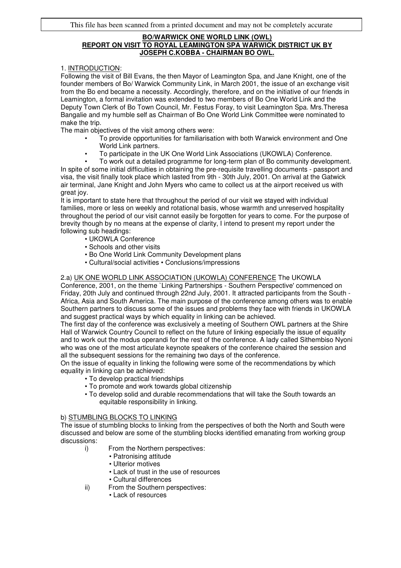### **BO/WARWICK ONE WORLD LINK (OWL) REPORT ON VISIT TO ROYAL LEAMINGTON SPA WARWICK DISTRICT UK BY JOSEPH C.KOBBA - CHAIRMAN BO OWL.**

### 1. INTRODUCTION:

Following the visit of Bill Evans, the then Mayor of Leamington Spa, and Jane Knight, one of the founder members of Bo/ Warwick Community Link, in March 2001, the issue of an exchange visit from the Bo end became a necessity. Accordingly, therefore, and on the initiative of our friends in Leamington, a formal invitation was extended to two members of Bo One World Link and the Deputy Town Clerk of Bo Town Council, Mr. Festus Foray, to visit Leamington Spa. Mrs.Theresa Bangalie and my humble self as Chairman of Bo One World Link Committee were nominated to make the trip.

The main objectives of the visit among others were:

- To provide opportunities for familiarisation with both Warwick environment and One World Link partners.
- To participate in the UK One World Link Associations (UKOWLA) Conference.
- To work out a detailed programme for long-term plan of Bo community development.

In spite of some initial difficulties in obtaining the pre-requisite travelling documents - passport and visa, the visit finally took place which lasted from 9th - 30th July, 2001. On arrival at the Gatwick air terminal, Jane Knight and John Myers who came to collect us at the airport received us with great joy.

It is important to state here that throughout the period of our visit we stayed with individual families, more or less on weekly and rotational basis, whose warmth and unreserved hospitality throughout the period of our visit cannot easily be forgotten for years to come. For the purpose of brevity though by no means at the expense of clarity, I intend to present my report under the following sub headings:

- UKOWLA Conference
- Schools and other visits
- Bo One World Link Community Development plans
- Cultural/social activities Conclusions/impressions

# 2.a) UK ONE WORLD LINK ASSOCIATION (UKOWLA) CONFERENCE The UKOWLA

Conference, 2001, on the theme `Linking Partnerships - Southern Perspective' commenced on Friday, 20th July and continued through 22nd July, 2001. It attracted participants from the South - Africa, Asia and South America. The main purpose of the conference among others was to enable Southern partners to discuss some of the issues and problems they face with friends in UKOWLA and suggest practical ways by which equality in linking can be achieved.

The first day of the conference was exclusively a meeting of Southern OWL partners at the Shire Hall of Warwick Country Council to reflect on the future of linking especially the issue of equality and to work out the modus operandi for the rest of the conference. A lady called Sithembiso Nyoni who was one of the most articulate keynote speakers of the conference chaired the session and all the subsequent sessions for the remaining two days of the conference.

On the issue of equality in linking the following were some of the recommendations by which equality in linking can be achieved:

- To develop practical friendships
- To promote and work towards global citizenship
- To develop solid and durable recommendations that will take the South towards an equitable responsibility in linking.

#### b) STUMBLING BLOCKS TO LINKING

The issue of stumbling blocks to linking from the perspectives of both the North and South were discussed and below are some of the stumbling blocks identified emanating from working group discussions:

- i) From the Northern perspectives:
	- Patronising attitude
		- Ulterior motives
		- Lack of trust in the use of resources
		- Cultural differences
- ii) From the Southern perspectives:
	- Lack of resources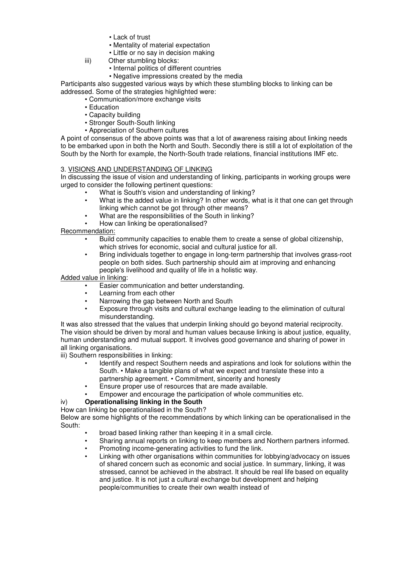- Lack of trust
- Mentality of material expectation
- Little or no say in decision making
- iii) Other stumbling blocks:
	- Internal politics of different countries
	- Negative impressions created by the media

Participants also suggested various ways by which these stumbling blocks to linking can be addressed. Some of the strategies highlighted were:

- Communication/more exchange visits
- Education
- Capacity building
- Stronger South-South linking
- Appreciation of Southern cultures

A point of consensus of the above points was that a lot of awareness raising about linking needs to be embarked upon in both the North and South. Secondly there is still a lot of exploitation of the South by the North for example, the North-South trade relations, financial institutions IMF etc.

# 3. VISIONS AND UNDERSTANDING OF LINKING

In discussing the issue of vision and understanding of linking, participants in working groups were urged to consider the following pertinent questions:

- What is South's vision and understanding of linking?
- What is the added value in linking? In other words, what is it that one can get through linking which cannot be got through other means?
- What are the responsibilities of the South in linking?
- How can linking be operationalised?

Recommendation:

- Build community capacities to enable them to create a sense of global citizenship, which strives for economic, social and cultural justice for all.
- Bring individuals together to engage in long-term partnership that involves grass-root people on both sides. Such partnership should aim at improving and enhancing people's livelihood and quality of life in a holistic way.

Added value in linking:

- Easier communication and better understanding.
- Learning from each other
- Narrowing the gap between North and South
- Exposure through visits and cultural exchange leading to the elimination of cultural misunderstanding.

It was also stressed that the values that underpin linking should go beyond material reciprocity. The vision should be driven by moral and human values because linking is about justice, equality, human understanding and mutual support. It involves good governance and sharing of power in all linking organisations.

iii) Southern responsibilities in linking:

- Identify and respect Southern needs and aspirations and look for solutions within the South. • Make a tangible plans of what we expect and translate these into a partnership agreement. • Commitment, sincerity and honesty
- Ensure proper use of resources that are made available.
- Empower and encourage the participation of whole communities etc.

# iv) **Operationalising linking in the South**

### How can linking be operationalised in the South?

Below are some highlights of the recommendations by which linking can be operationalised in the South:

- broad based linking rather than keeping it in a small circle.
- Sharing annual reports on linking to keep members and Northern partners informed.
- Promoting income-generating activities to fund the link.
- Linking with other organisations within communities for lobbying/advocacy on issues of shared concern such as economic and social justice. In summary, linking, it was stressed, cannot be achieved in the abstract. It should be real life based on equality and justice. It is not just a cultural exchange but development and helping people/communities to create their own wealth instead of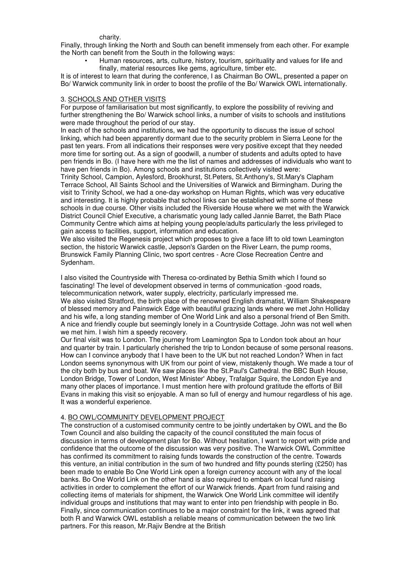#### charity.

Finally, through linking the North and South can benefit immensely from each other. For example the North can benefit from the South in the following ways:

• Human resources, arts, culture, history, tourism, spirituality and values for life and finally, material resources like gems, agriculture, timber etc.

It is of interest to learn that during the conference, I as Chairman Bo OWL, presented a paper on Bo/ Warwick community link in order to boost the profile of the Bo/ Warwick OWL internationally.

#### 3. SCHOOLS AND OTHER VISITS

For purpose of familiarisation but most significantly, to explore the possibility of reviving and further strengthening the Bo/ Warwick school links, a number of visits to schools and institutions were made throughout the period of our stay.

In each of the schools and institutions, we had the opportunity to discuss the issue of school linking, which had been apparently dormant due to the security problem in Sierra Leone for the past ten years. From all indications their responses were very positive except that they needed more time for sorting out. As a sign of goodwill, a number of students and adults opted to have pen friends in Bo. (I have here with me the list of names and addresses of individuals who want to have pen friends in Bo). Among schools and institutions collectively visited were:

Trinity School, Campion, Aylesford, Brookhurst, St.Peters, St.Anthony's, St.Mary's Clapham Terrace School, All Saints School and the Universities of Warwick and Birmingham. During the visit to Trinity School, we had a one-day workshop on Human Rights, which was very educative and interesting. It is highly probable that school links can be established with some of these schools in due course. Other visits included the Riverside House where we met with the Warwick District Council Chief Executive, a charismatic young lady called Jannie Barret, the Bath Place Community Centre which aims at helping young people/adults particularly the less privileged to gain access to facilities, support, information and education.

We also visited the Regenesis project which proposes to give a face lift to old town Leamington section, the historic Warwick castle, Jepson's Garden on the River Learn, the pump rooms, Brunswick Family Planning Clinic, two sport centres - Acre Close Recreation Centre and Sydenham.

I also visited the Countryside with Theresa co-ordinated by Bethia Smith which I found so fascinating! The level of development observed in terms of communication -good roads, telecommunication network, water supply, electricity, particularly impressed me.

We also visited Stratford, the birth place of the renowned English dramatist, William Shakespeare of blessed memory and Painswick Edge with beautiful grazing lands where we met John Holliday and his wife, a long standing member of One World Link and also a personal friend of Ben Smith. A nice and friendly couple but seemingly lonely in a Countryside Cottage. John was not well when we met him. I wish him a speedy recovery.

Our final visit was to London. The journey from Leamington Spa to London took about an hour and quarter by train. I particularly cherished the trip to London because of some personal reasons. How can I convince anybody that I have been to the UK but not reached London? When in fact London seems synonymous with UK from our point of view, mistakenly though. We made a tour of the city both by bus and boat. We saw places like the St.Paul's Cathedral. the BBC Bush House, London Bridge, Tower of London, West Minister' Abbey, Trafalgar Squire, the London Eye and many other places of importance. I must mention here with profound gratitude the efforts of Bill Evans in making this visit so enjoyable. A man so full of energy and humour regardless of his age. It was a wonderful experience.

#### 4. BO OWL/COMMUNITY DEVELOPMENT PROJECT

The construction of a customised community centre to be jointly undertaken by OWL and the Bo Town Council and also building the capacity of the council constituted the main focus of discussion in terms of development plan for Bo. Without hesitation, I want to report with pride and confidence that the outcome of the discussion was very positive. The Warwick OWL Committee has confirmed its commitment to raising funds towards the construction of the centre. Towards this venture, an initial contribution in the sum of two hundred and fifty pounds sterling (£250) has been made to enable Bo One World Link open a foreign currency account with any of the local banks. Bo One World Link on the other hand is also required to embark on local fund raising activities in order to complement the effort of our Warwick friends. Apart from fund raising and collecting items of materials for shipment, the Warwick One World Link committee will identify individual groups and institutions that may want to enter into pen friendship with people in Bo. Finally, since communication continues to be a major constraint for the link, it was agreed that both R and Warwick OWL establish a reliable means of communication between the two link partners. For this reason, Mr.Rajiv Bendre at the British